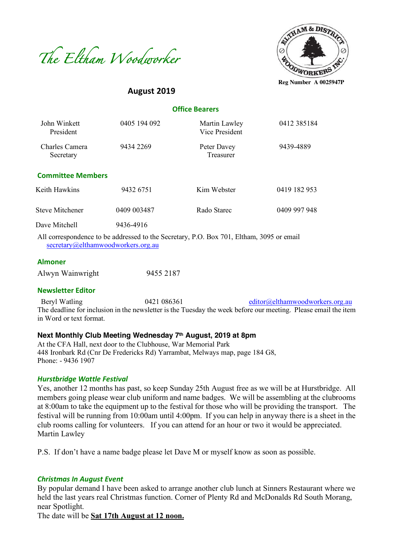



**Reg Number A 0025947P**

# **August 2019**

| <b>Office Bearers</b> |  |
|-----------------------|--|
|-----------------------|--|

| John Winkett<br>President   | 0405 194 092 | Martin Lawley<br>Vice President                                                                                                                                                                                                                                                                                                                  | 0412 385184  |
|-----------------------------|--------------|--------------------------------------------------------------------------------------------------------------------------------------------------------------------------------------------------------------------------------------------------------------------------------------------------------------------------------------------------|--------------|
| Charles Camera<br>Secretary | 9434 2269    | Peter Davey<br>Treasurer                                                                                                                                                                                                                                                                                                                         | 9439-4889    |
| <b>Committee Members</b>    |              |                                                                                                                                                                                                                                                                                                                                                  |              |
| Keith Hawkins               | 9432 6751    | Kim Webster                                                                                                                                                                                                                                                                                                                                      | 0419 182 953 |
| <b>Steve Mitchener</b>      | 0409 003487  | Rado Starec                                                                                                                                                                                                                                                                                                                                      | 0409 997 948 |
| Dave Mitchell               | 9436-4916    |                                                                                                                                                                                                                                                                                                                                                  |              |
|                             |              | All express produce to be addressed to the Corotery $\overline{D}$ $\overline{D}$ $\overline{D}$ $\overline{D}$ $\overline{D}$ $\overline{D}$ $\overline{D}$ $\overline{D}$ $\overline{D}$ $\overline{D}$ $\overline{D}$ $\overline{D}$ $\overline{D}$ $\overline{D}$ $\overline{D}$ $\overline{D}$ $\overline{D}$ $\overline{D}$ $\overline{D}$ |              |

All correspondence to be addressed to the Secretary, P.O. Box 701, Eltham, 3095 or email secretary@elthamwoodworkers.org.au

#### **Almoner**

| Alwyn Wainwright | 9455 2187 |
|------------------|-----------|
|                  |           |

#### **Newsletter Editor**

Beryl Watling 0421 086361 editor@elthamwoodworkers.org.au The deadline for inclusion in the newsletter is the Tuesday the week before our meeting. Please email the item in Word or text format.

#### **Next Monthly Club Meeting Wednesday 7th August, 2019 at 8pm**

At the CFA Hall, next door to the Clubhouse, War Memorial Park 448 Ironbark Rd (Cnr De Fredericks Rd) Yarrambat, Melways map, page 184 G8, Phone: - 9436 1907

#### *Hurstbridge Wattle Festival*

Yes, another 12 months has past, so keep Sunday 25th August free as we will be at Hurstbridge. All members going please wear club uniform and name badges. We will be assembling at the clubrooms at 8:00am to take the equipment up to the festival for those who will be providing the transport. The festival will be running from 10:00am until 4:00pm. If you can help in anyway there is a sheet in the club rooms calling for volunteers. If you can attend for an hour or two it would be appreciated. Martin Lawley

P.S. If don't have a name badge please let Dave M or myself know as soon as possible.

#### *Christmas In August Event*

By popular demand I have been asked to arrange another club lunch at Sinners Restaurant where we held the last years real Christmas function. Corner of Plenty Rd and McDonalds Rd South Morang, near Spotlight.

The date will be **Sat 17th August at 12 noon.**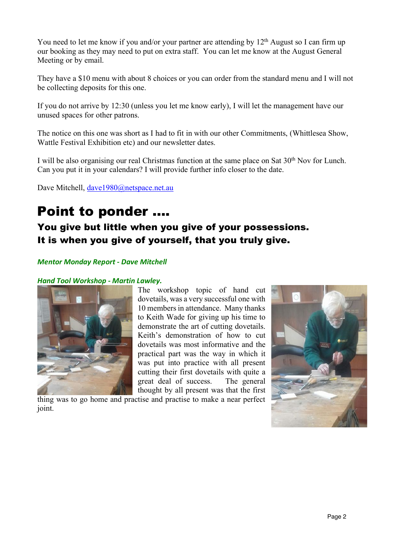You need to let me know if you and/or your partner are attending by 12<sup>th</sup> August so I can firm up our booking as they may need to put on extra staff. You can let me know at the August General Meeting or by email.

They have a \$10 menu with about 8 choices or you can order from the standard menu and I will not be collecting deposits for this one.

If you do not arrive by 12:30 (unless you let me know early), I will let the management have our unused spaces for other patrons.

The notice on this one was short as I had to fit in with our other Commitments, (Whittlesea Show, Wattle Festival Exhibition etc) and our newsletter dates.

I will be also organising our real Christmas function at the same place on Sat 30<sup>th</sup> Nov for Lunch. Can you put it in your calendars? I will provide further info closer to the date.

Dave Mitchell, dave1980@netspace.net.au

# Point to ponder ….

# You give but little when you give of your possessions. It is when you give of yourself, that you truly give.

# *Mentor Monday Report - Dave Mitchell*

# *Hand Tool Workshop - Martin Lawley.*



The workshop topic of hand cut dovetails, was a very successful one with 10 members in attendance. Many thanks to Keith Wade for giving up his time to demonstrate the art of cutting dovetails. Keith's demonstration of how to cut dovetails was most informative and the practical part was the way in which it was put into practice with all present cutting their first dovetails with quite a great deal of success. The general thought by all present was that the first

thing was to go home and practise and practise to make a near perfect joint.

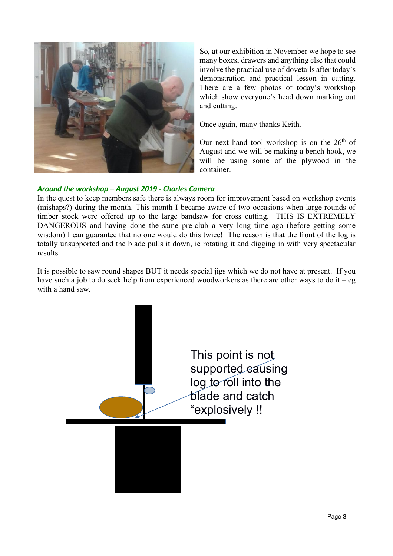

So, at our exhibition in November we hope to see many boxes, drawers and anything else that could involve the practical use of dovetails after today's demonstration and practical lesson in cutting. There are a few photos of today's workshop which show everyone's head down marking out and cutting.

Once again, many thanks Keith.

Our next hand tool workshop is on the  $26<sup>th</sup>$  of August and we will be making a bench hook, we will be using some of the plywood in the container.

#### *Around the workshop – August 2019 - Charles Camera*

In the quest to keep members safe there is always room for improvement based on workshop events (mishaps?) during the month. This month I became aware of two occasions when large rounds of timber stock were offered up to the large bandsaw for cross cutting. THIS IS EXTREMELY DANGEROUS and having done the same pre-club a very long time ago (before getting some wisdom) I can guarantee that no one would do this twice! The reason is that the front of the log is totally unsupported and the blade pulls it down, ie rotating it and digging in with very spectacular results.

It is possible to saw round shapes BUT it needs special jigs which we do not have at present. If you have such a job to do seek help from experienced woodworkers as there are other ways to do it – eg with a hand saw.

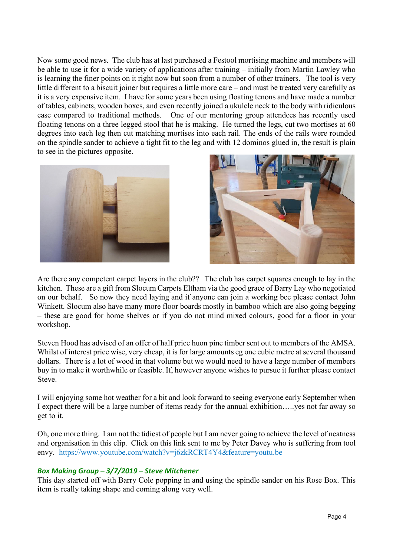Now some good news. The club has at last purchased a Festool mortising machine and members will be able to use it for a wide variety of applications after training – initially from Martin Lawley who is learning the finer points on it right now but soon from a number of other trainers. The tool is very little different to a biscuit joiner but requires a little more care – and must be treated very carefully as it is a very expensive item. I have for some years been using floating tenons and have made a number of tables, cabinets, wooden boxes, and even recently joined a ukulele neck to the body with ridiculous ease compared to traditional methods. One of our mentoring group attendees has recently used floating tenons on a three legged stool that he is making. He turned the legs, cut two mortises at 60 degrees into each leg then cut matching mortises into each rail. The ends of the rails were rounded on the spindle sander to achieve a tight fit to the leg and with 12 dominos glued in, the result is plain to see in the pictures opposite.





Are there any competent carpet layers in the club?? The club has carpet squares enough to lay in the kitchen. These are a gift from Slocum Carpets Eltham via the good grace of Barry Lay who negotiated on our behalf. So now they need laying and if anyone can join a working bee please contact John Winkett. Slocum also have many more floor boards mostly in bamboo which are also going begging – these are good for home shelves or if you do not mind mixed colours, good for a floor in your workshop.

Steven Hood has advised of an offer of half price huon pine timber sent out to members of the AMSA. Whilst of interest price wise, very cheap, it is for large amounts eg one cubic metre at several thousand dollars. There is a lot of wood in that volume but we would need to have a large number of members buy in to make it worthwhile or feasible. If, however anyone wishes to pursue it further please contact Steve.

I will enjoying some hot weather for a bit and look forward to seeing everyone early September when I expect there will be a large number of items ready for the annual exhibition…..yes not far away so get to it.

Oh, one more thing. I am not the tidiest of people but I am never going to achieve the level of neatness and organisation in this clip. Click on this link sent to me by Peter Davey who is suffering from tool envy. https://www.youtube.com/watch?v=j6zkRCRT4Y4&feature=youtu.be

## *Box Making Group – 3/7/2019 – Steve Mitchener*

This day started off with Barry Cole popping in and using the spindle sander on his Rose Box. This item is really taking shape and coming along very well.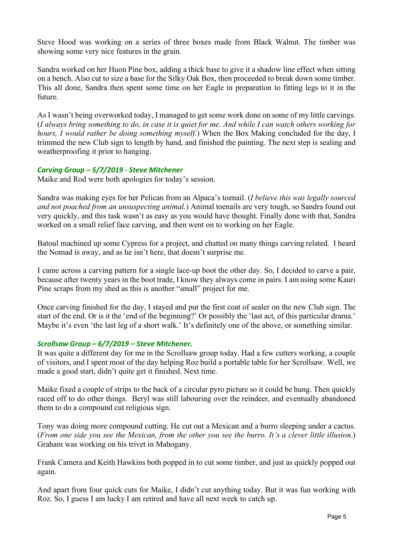Steve Hood was working on a series of three boxes made from Black Walnut. The timber was showing some very nice features in the grain.

Sandra worked on her Huon Pine box, adding a thick base to give it a shadow line effect when sitting on a bench. Also cut to size a base for the Silky Oak Box, then proceeded to break down some timber. This all done, Sandra then spent some time on her Eagle in preparation to fitting legs to it in the future.

As I wasn't being overworked today, I managed to get some work done on some of my little carvings. (*I always bring something to do, in case it is quiet for me. And while I can watch others working for hours, I would rather be doing something myself*.) When the Box Making concluded for the day, I trimmed the new Club sign to length by hand, and finished the painting. The next step is sealing and weatherproofing it prior to hanging.

## *Carving Group – 5/7/2019 - Steve Mitchener*

Maike and Rod were both apologies for today's session.

Sandra was making eyes for her Pelican from an Alpaca's toenail. (*I believe this was legally sourced and not poached from an unsuspecting animal.*) Animal toenails are very tough, so Sandra found out very quickly, and this task wasn't as easy as you would have thought. Finally done with that, Sandra worked on a small relief face carving, and then went on to working on her Eagle.

Batoul machined up some Cypress for a project, and chatted on many things carving related. I heard the Nomad is away, and as he isn't here, that doesn't surprise me.

I came across a carving pattern for a single lace-up boot the other day. So, I decided to carve a pair, because after twenty years in the boot trade, I know they always come in pairs. I am using some Kauri Pine scraps from my shed as this is another "small" project for me.

Once carving finished for the day, I stayed and put the first coat of sealer on the new Club sign. The start of the end. Or is it the 'end of the beginning?' Or possibly the 'last act, of this particular drama.' Maybe it's even 'the last leg of a short walk.' It's definitely one of the above, or something similar.

## *Scrollsaw Group – 6/7/2019 – Steve Mitchener.*

It was quite a different day for me in the Scrollsaw group today. Had a few cutters working, a couple of visitors, and I spent most of the day helping Roz build a portable table for her Scrollsaw. Well, we made a good start, didn't quite get it finished. Next time.

Maike fixed a couple of strips to the back of a circular pyro picture so it could be hung. Then quickly raced off to do other things. Beryl was still labouring over the reindeer, and eventually abandoned them to do a compound cut religious sign.

Tony was doing more compound cutting. He cut out a Mexican and a burro sleeping under a cactus. (*From one side you see the Mexican, from the other you see the burro. It's a clever little illusion*.) Graham was working on his trivet in Mahogany.

Frank Camera and Keith Hawkins both popped in to cut some timber, and just as quickly popped out again.

And apart from four quick cuts for Maike, I didn't cut anything today. But it was fun working with Roz. So, I guess I am lucky I am retired and have all next week to catch up.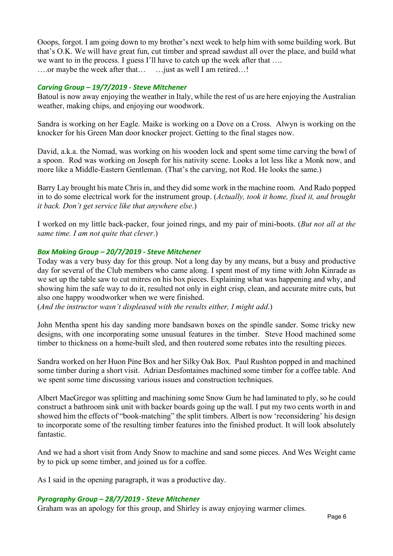Ooops, forgot. I am going down to my brother's next week to help him with some building work. But that's O.K. We will have great fun, cut timber and spread sawdust all over the place, and build what we want to in the process. I guess I'll have to catch up the week after that .... ….or maybe the week after that… …just as well I am retired…!

# *Carving Group – 19/7/2019 - Steve Mitchener*

Batoul is now away enjoying the weather in Italy, while the rest of us are here enjoying the Australian weather, making chips, and enjoying our woodwork.

Sandra is working on her Eagle. Maike is working on a Dove on a Cross. Alwyn is working on the knocker for his Green Man door knocker project. Getting to the final stages now.

David, a.k.a. the Nomad, was working on his wooden lock and spent some time carving the bowl of a spoon. Rod was working on Joseph for his nativity scene. Looks a lot less like a Monk now, and more like a Middle-Eastern Gentleman. (That's the carving, not Rod. He looks the same.)

Barry Lay brought his mate Chris in, and they did some work in the machine room. And Rado popped in to do some electrical work for the instrument group. (*Actually, took it home, fixed it, and brought it back. Don't get service like that anywhere else*.)

I worked on my little back-packer, four joined rings, and my pair of mini-boots. (*But not all at the same time. I am not quite that clever*.)

# *Box Making Group – 20/7/2019 - Steve Mitchener*

Today was a very busy day for this group. Not a long day by any means, but a busy and productive day for several of the Club members who came along. I spent most of my time with John Kinrade as we set up the table saw to cut mitres on his box pieces. Explaining what was happening and why, and showing him the safe way to do it, resulted not only in eight crisp, clean, and accurate mitre cuts, but also one happy woodworker when we were finished.

(*And the instructor wasn't displeased with the results either, I might add*.)

John Mentha spent his day sanding more bandsawn boxes on the spindle sander. Some tricky new designs, with one incorporating some unusual features in the timber. Steve Hood machined some timber to thickness on a home-built sled, and then routered some rebates into the resulting pieces.

Sandra worked on her Huon Pine Box and her Silky Oak Box. Paul Rushton popped in and machined some timber during a short visit. Adrian Desfontaines machined some timber for a coffee table. And we spent some time discussing various issues and construction techniques.

Albert MacGregor was splitting and machining some Snow Gum he had laminated to ply, so he could construct a bathroom sink unit with backer boards going up the wall. I put my two cents worth in and showed him the effects of "book-matching" the split timbers. Albert is now 'reconsidering' his design to incorporate some of the resulting timber features into the finished product. It will look absolutely fantastic.

And we had a short visit from Andy Snow to machine and sand some pieces. And Wes Weight came by to pick up some timber, and joined us for a coffee.

As I said in the opening paragraph, it was a productive day.

## *Pyrography Group – 28/7/2019 - Steve Mitchener*

Graham was an apology for this group, and Shirley is away enjoying warmer climes.